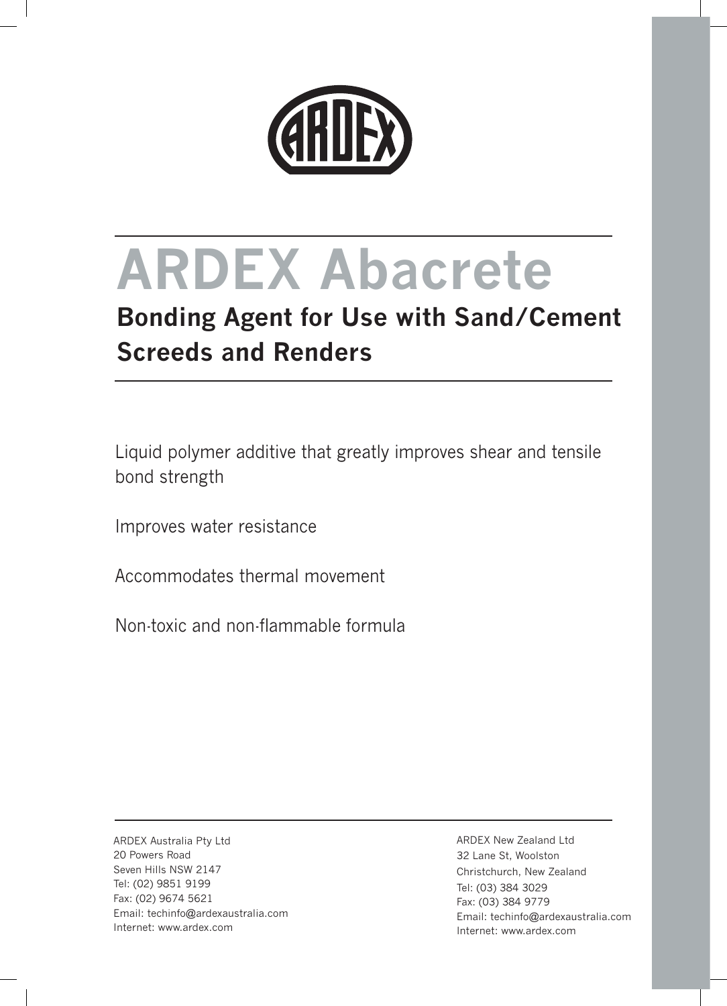

# **ARDEX Abacrete**

## **Bonding Agent for Use with Sand/Cement Screeds and Renders**

Liquid polymer additive that greatly improves shear and tensile bond strength

Improves water resistance

Accommodates thermal movement

Non-toxic and non-flammable formula

ARDEX Australia Pty Ltd 20 Powers Road Seven Hills NSW 2147 Tel: (02) 9851 9199 Fax: (02) 9674 5621 Email: techinfo@ardexaustralia.com Internet: www.ardex.com

ARDEX New Zealand Ltd 32 Lane St, Woolston Christchurch, New Zealand Tel: (03) 384 3029 Fax: (03) 384 9779 Email: techinfo@ardexaustralia.com Internet: www.ardex.com